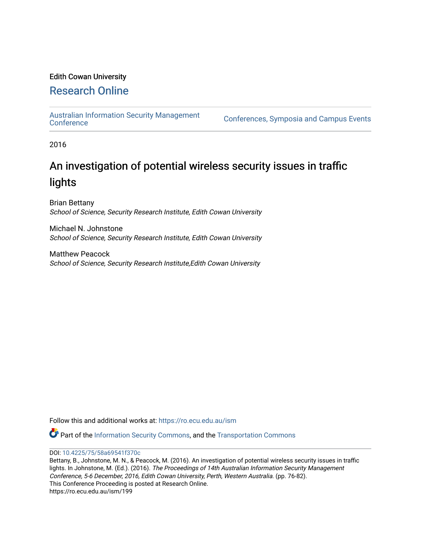# Edith Cowan University

# [Research Online](https://ro.ecu.edu.au/)

[Australian Information Security Management](https://ro.ecu.edu.au/ism) 

[Conference](https://ro.ecu.edu.au/ism)s, Symposia and Campus Events

2016

# An investigation of potential wireless security issues in traffic lights

Brian Bettany School of Science, Security Research Institute, Edith Cowan University

Michael N. Johnstone School of Science, Security Research Institute, Edith Cowan University

Matthew Peacock School of Science, Security Research Institute,Edith Cowan University

Follow this and additional works at: [https://ro.ecu.edu.au/ism](https://ro.ecu.edu.au/ism?utm_source=ro.ecu.edu.au%2Fism%2F199&utm_medium=PDF&utm_campaign=PDFCoverPages) 

Part of the [Information Security Commons](http://network.bepress.com/hgg/discipline/1247?utm_source=ro.ecu.edu.au%2Fism%2F199&utm_medium=PDF&utm_campaign=PDFCoverPages), and the [Transportation Commons](http://network.bepress.com/hgg/discipline/1068?utm_source=ro.ecu.edu.au%2Fism%2F199&utm_medium=PDF&utm_campaign=PDFCoverPages)

DOI: [10.4225/75/58a69541f370c](https://doi.org/10.4225/75/58a69541f370c)

Bettany, B., Johnstone, M. N., & Peacock, M. (2016). An investigation of potential wireless security issues in traffic lights. In Johnstone, M. (Ed.). (2016). The Proceedings of 14th Australian Information Security Management Conference, 5-6 December, 2016, Edith Cowan University, Perth, Western Australia. (pp. 76-82). This Conference Proceeding is posted at Research Online.

https://ro.ecu.edu.au/ism/199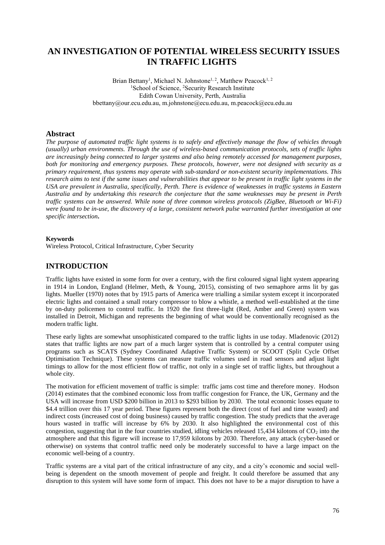# **AN INVESTIGATION OF POTENTIAL WIRELESS SECURITY ISSUES IN TRAFFIC LIGHTS**

Brian Bettany<sup>1</sup>, Michael N. Johnstone<sup>1, 2</sup>, Matthew Peacock<sup>1, 2</sup> <sup>1</sup>School of Science, <sup>2</sup>Security Research Institute Edith Cowan University, Perth, Australia bbettany@our.ecu.edu.au, m.johnstone@ecu.edu.au, m.peacock@ecu.edu.au

#### **Abstract**

*The purpose of automated traffic light systems is to safely and effectively manage the flow of vehicles through (usually) urban environments. Through the use of wireless-based communication protocols, sets of traffic lights are increasingly being connected to larger systems and also being remotely accessed for management purposes, both for monitoring and emergency purposes. These protocols, however, were not designed with security as a primary requirement, thus systems may operate with sub-standard or non-existent security implementations. This research aims to test if the same issues and vulnerabilities that appear to be present in traffic light systems in the USA are prevalent in Australia, specifically, Perth. There is evidence of weaknesses in traffic systems in Eastern Australia and by undertaking this research the conjecture that the same weaknesses may be present in Perth traffic systems can be answered. While none of three common wireless protocols (ZigBee, Bluetooth or Wi-Fi) were found to be in-use, the discovery of a large, consistent network pulse warranted further investigation at one specific intersection***.**

#### **Keywords**

Wireless Protocol, Critical Infrastructure, Cyber Security

### **INTRODUCTION**

Traffic lights have existed in some form for over a century, with the first coloured signal light system appearing in 1914 in London, England (Helmer, Meth, & Young, 2015), consisting of two semaphore arms lit by gas lights. Mueller (1970) notes that by 1915 parts of America were trialling a similar system except it incorporated electric lights and contained a small rotary compressor to blow a whistle, a method well-established at the time by on-duty policemen to control traffic. In 1920 the first three-light (Red, Amber and Green) system was installed in Detroit, Michigan and represents the beginning of what would be conventionally recognised as the modern traffic light.

These early lights are somewhat unsophisticated compared to the traffic lights in use today. Mladenovic (2012) states that traffic lights are now part of a much larger system that is controlled by a central computer using programs such as SCATS (Sydney Coordinated Adaptive Traffic System) or SCOOT (Split Cycle Offset Optimisation Technique). These systems can measure traffic volumes used in road sensors and adjust light timings to allow for the most efficient flow of traffic, not only in a single set of traffic lights, but throughout a whole city.

The motivation for efficient movement of traffic is simple: traffic jams cost time and therefore money. Hodson (2014) estimates that the combined economic loss from traffic congestion for France, the UK, Germany and the USA will increase from USD \$200 billion in 2013 to \$293 billion by 2030. The total economic losses equate to \$4.4 trillion over this 17 year period. These figures represent both the direct (cost of fuel and time wasted) and indirect costs (increased cost of doing business) caused by traffic congestion. The study predicts that the average hours wasted in traffic will increase by 6% by 2030. It also highlighted the environmental cost of this congestion, suggesting that in the four countries studied, idling vehicles released 15,434 kilotons of  $CO<sub>2</sub>$  into the atmosphere and that this figure will increase to 17,959 kilotons by 2030. Therefore, any attack (cyber-based or otherwise) on systems that control traffic need only be moderately successful to have a large impact on the economic well-being of a country.

Traffic systems are a vital part of the critical infrastructure of any city, and a city's economic and social wellbeing is dependent on the smooth movement of people and freight. It could therefore be assumed that any disruption to this system will have some form of impact. This does not have to be a major disruption to have a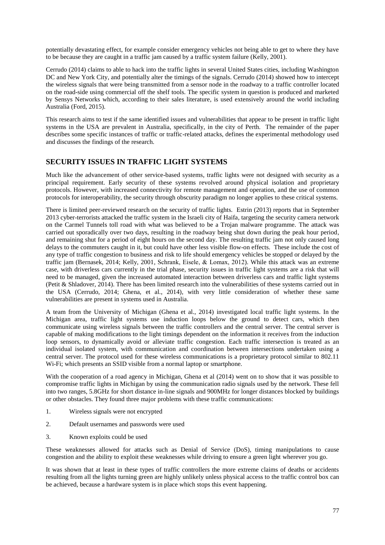potentially devastating effect, for example consider emergency vehicles not being able to get to where they have to be because they are caught in a traffic jam caused by a traffic system failure (Kelly, 2001).

Cerrudo (2014) claims to able to hack into the traffic lights in several United States cities, including Washington DC and New York City, and potentially alter the timings of the signals. Cerrudo (2014) showed how to intercept the wireless signals that were being transmitted from a sensor node in the roadway to a traffic controller located on the road-side using commercial off the shelf tools. The specific system in question is produced and marketed by Sensys Networks which, according to their sales literature, is used extensively around the world including Australia (Ford, 2015).

This research aims to test if the same identified issues and vulnerabilities that appear to be present in traffic light systems in the USA are prevalent in Australia, specifically, in the city of Perth. The remainder of the paper describes some specific instances of traffic or traffic-related attacks, defines the experimental methodology used and discusses the findings of the research.

## **SECURITY ISSUES IN TRAFFIC LIGHT SYSTEMS**

Much like the advancement of other service-based systems, traffic lights were not designed with security as a principal requirement. Early security of these systems revolved around physical isolation and proprietary protocols. However, with increased connectivity for remote management and operation, and the use of common protocols for interoperability, the security through obscurity paradigm no longer applies to these critical systems.

There is limited peer-reviewed research on the security of traffic lights. Estrin (2013) reports that in September 2013 cyber-terrorists attacked the traffic system in the Israeli city of Haifa, targeting the security camera network on the Carmel Tunnels toll road with what was believed to be a Trojan malware programme. The attack was carried out sporadically over two days, resulting in the roadway being shut down during the peak hour period, and remaining shut for a period of eight hours on the second day. The resulting traffic jam not only caused long delays to the commuters caught in it, but could have other less visible flow-on effects. These include the cost of any type of traffic congestion to business and risk to life should emergency vehicles be stopped or delayed by the traffic jam (Bernasek, 2014; Kelly, 2001, Schrank, Eisele, & Lomax, 2012). While this attack was an extreme case, with driverless cars currently in the trial phase, security issues in traffic light systems are a risk that will need to be managed, given the increased automated interaction between driverless cars and traffic light systems (Petit & Shladover, 2014). There has been limited research into the vulnerabilities of these systems carried out in the USA (Cerrudo, 2014; Ghena, et al., 2014), with very little consideration of whether these same vulnerabilities are present in systems used in Australia.

A team from the University of Michigan (Ghena et al., 2014) investigated local traffic light systems. In the Michigan area, traffic light systems use induction loops below the ground to detect cars, which then communicate using wireless signals between the traffic controllers and the central server. The central server is capable of making modifications to the light timings dependent on the information it receives from the induction loop sensors, to dynamically avoid or alleviate traffic congestion. Each traffic intersection is treated as an individual isolated system, with communication and coordination between intersections undertaken using a central server. The protocol used for these wireless communications is a proprietary protocol similar to 802.11 Wi-Fi; which presents an SSID visible from a normal laptop or smartphone.

With the cooperation of a road agency in Michigan, Ghena et al  $(2014)$  went on to show that it was possible to compromise traffic lights in Michigan by using the communication radio signals used by the network. These fell into two ranges, 5.8GHz for short distance in-line signals and 900MHz for longer distances blocked by buildings or other obstacles. They found three major problems with these traffic communications:

- 1. Wireless signals were not encrypted
- 2. Default usernames and passwords were used
- 3. Known exploits could be used

These weaknesses allowed for attacks such as Denial of Service (DoS), timing manipulations to cause congestion and the ability to exploit these weaknesses while driving to ensure a green light wherever you go.

It was shown that at least in these types of traffic controllers the more extreme claims of deaths or accidents resulting from all the lights turning green are highly unlikely unless physical access to the traffic control box can be achieved, because a hardware system is in place which stops this event happening.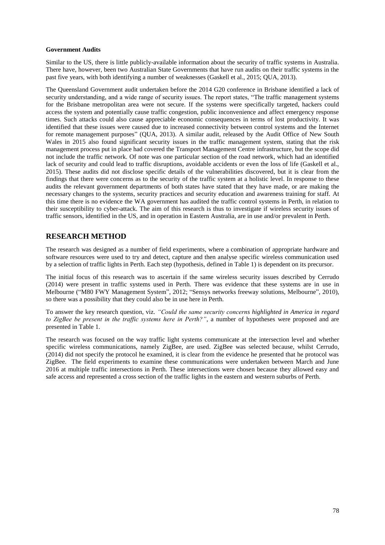#### **Government Audits**

Similar to the US, there is little publicly-available information about the security of traffic systems in Australia. There have, however, been two Australian State Governments that have run audits on their traffic systems in the past five years, with both identifying a number of weaknesses (Gaskell et al., 2015; QUA, 2013).

The Queensland Government audit undertaken before the 2014 G20 conference in Brisbane identified a lack of security understanding, and a wide range of security issues. The report states, "The traffic management systems for the Brisbane metropolitan area were not secure. If the systems were specifically targeted, hackers could access the system and potentially cause traffic congestion, public inconvenience and affect emergency response times. Such attacks could also cause appreciable economic consequences in terms of lost productivity. It was identified that these issues were caused due to increased connectivity between control systems and the Internet for remote management purposes" (QUA, 2013). A similar audit, released by the Audit Office of New South Wales in 2015 also found significant security issues in the traffic management system, stating that the risk management process put in place had covered the Transport Management Centre infrastructure, but the scope did not include the traffic network. Of note was one particular section of the road network, which had an identified lack of security and could lead to traffic disruptions, avoidable accidents or even the loss of life (Gaskell et al., 2015). These audits did not disclose specific details of the vulnerabilities discovered, but it is clear from the findings that there were concerns as to the security of the traffic system at a holistic level. In response to these audits the relevant government departments of both states have stated that they have made, or are making the necessary changes to the systems, security practices and security education and awareness training for staff. At this time there is no evidence the WA government has audited the traffic control systems in Perth, in relation to their susceptibility to cyber-attack. The aim of this research is thus to investigate if wireless security issues of traffic sensors, identified in the US, and in operation in Eastern Australia, are in use and/or prevalent in Perth.

## **RESEARCH METHOD**

The research was designed as a number of field experiments, where a combination of appropriate hardware and software resources were used to try and detect, capture and then analyse specific wireless communication used by a selection of traffic lights in Perth. Each step (hypothesis, defined in Table 1) is dependent on its precursor.

The initial focus of this research was to ascertain if the same wireless security issues described by Cerrudo (2014) were present in traffic systems used in Perth. There was evidence that these systems are in use in Melbourne ("M80 FWY Management System", 2012; "Sensys networks freeway solutions, Melbourne", 2010), so there was a possibility that they could also be in use here in Perth.

To answer the key research question, viz. *"Could the same security concerns highlighted in America in regard to ZigBee be present in the traffic systems here in Perth?"*, a number of hypotheses were proposed and are presented in Table 1.

The research was focused on the way traffic light systems communicate at the intersection level and whether specific wireless communications, namely ZigBee, are used. ZigBee was selected because, whilst Cerrudo, (2014) did not specify the protocol he examined, it is clear from the evidence he presented that he protocol was ZigBee. The field experiments to examine these communications were undertaken between March and June 2016 at multiple traffic intersections in Perth. These intersections were chosen because they allowed easy and safe access and represented a cross section of the traffic lights in the eastern and western suburbs of Perth.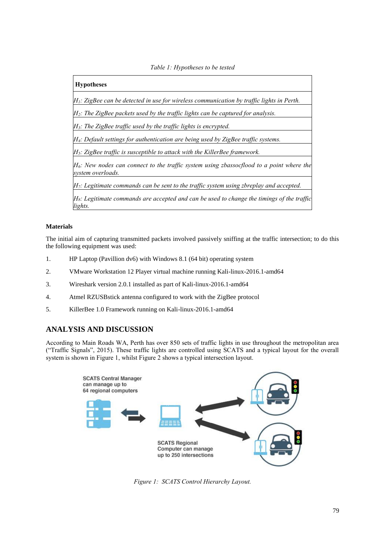*Table 1: Hypotheses to be tested*

# **Hypotheses** *H1: ZigBee can be detected in use for wireless communication by traffic lights in Perth. H2: The ZigBee packets used by the traffic lights can be captured for analysis. H3: The ZigBee traffic used by the traffic lights is encrypted. H4: Default settings for authentication are being used by ZigBee traffic systems. H5: ZigBee traffic is susceptible to attack with the KillerBee framework. H6: New nodes can connect to the traffic system using zbassocflood to a point where the system overloads. H7: Legitimate commands can be sent to the traffic system using zbreplay and accepted. H8: Legitimate commands are accepted and can be used to change the timings of the traffic lights.*

### **Materials**

The initial aim of capturing transmitted packets involved passively sniffing at the traffic intersection; to do this the following equipment was used:

- 1. HP Laptop (Pavillion dv6) with Windows 8.1 (64 bit) operating system
- 2. VMware Workstation 12 Player virtual machine running Kali-linux-2016.1-amd64
- 3. Wireshark version 2.0.1 installed as part of Kali-linux-2016.1-amd64
- 4. Atmel RZUSBstick antenna configured to work with the ZigBee protocol
- 5. KillerBee 1.0 Framework running on Kali-linux-2016.1-amd64

# **ANALYSIS AND DISCUSSION**

According to Main Roads WA, Perth has over 850 sets of traffic lights in use throughout the metropolitan area ("Traffic Signals", 2015). These traffic lights are controlled using SCATS and a typical layout for the overall system is shown in Figure 1, whilst Figure 2 shows a typical intersection layout.



*Figure 1: SCATS Control Hierarchy Layout.*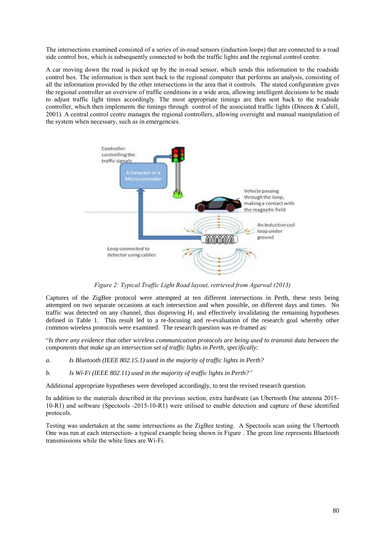The intersections examined consisted of a series of in-road sensors (induction loops) that are connected to a road side control box, which is subsequently connected to both the traffic lights and the regional control centre.

A car moving down the road is picked up by the in-road sensor, which sends this information to the roadside control box. The information is then sent back to the regional computer that performs an analysis, consisting of all the information provided by the other intersections in the area that it controls. The stated configuration gives the regional controller an overview of traffic conditions in a wide area, allowing intelligent decisions to be made to adjust traffic light times accordingly. The most appropriate timings are then sent back to the roadside controller, which then implements the timings through control of the associated traffic lights (Dineen & Cahill, 2001). A central control centre manages the regional controllers, allowing oversight and manual manipulation of the system when necessary, such as in emergencies.



*Figure 2: Typical Traffic Light Road layout, retrieved from Agarwal (2013)*

Captures of the ZigBee protocol were attempted at ten different intersections in Perth, these tests being attempted on two separate occasions at each intersection and when possible, on different days and times. No traffic was detected on any channel, thus disproving  $H_1$  and effectively invalidating the remaining hypotheses defined in Table 1. This result led to a re-focusing and re-evaluation of the research goal whereby other common wireless protocols were examined. The research question was re-framed as:

"*Is there any evidence that other wireless communication protocols are being used to transmit data between the components that make up an intersection set of traffic lights in Perth, specifically:*

- *a. Is Bluetooth (IEEE 802.15.1) used in the majority of traffic lights in Perth?*
- *b. Is Wi-Fi (IEEE 802.11) used in the majority of traffic lights in Perth?"*

Additional appropriate hypotheses were developed accordingly, to test the revised research question.

In addition to the materials described in the previous section, extra hardware (an Ubertooth One antenna 2015- 10-R1) and software (Spectools -2015-10-R1) were utilised to enable detection and capture of these identified protocols.

Testing was undertaken at the same intersections as the ZigBee testing. A Spectools scan using the Ubertooth One was run at each intersection- a typical example being shown in [Figure .](#page-6-0) The green line represents Bluetooth transmissions while the white lines are Wi-Fi.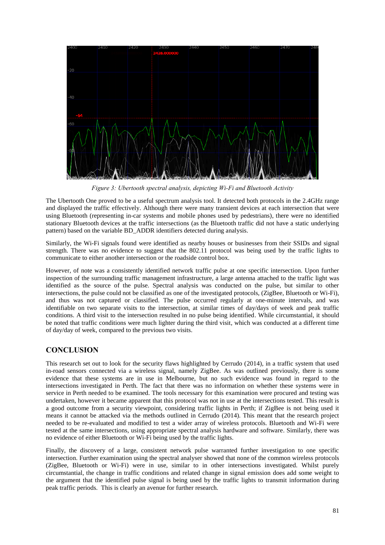

*Figure 3: Ubertooth spectral analysis, depicting Wi-Fi and Bluetooth Activity*

<span id="page-6-0"></span>The Ubertooth One proved to be a useful spectrum analysis tool. It detected both protocols in the 2.4GHz range and displayed the traffic effectively. Although there were many transient devices at each intersection that were using Bluetooth (representing in-car systems and mobile phones used by pedestrians), there were no identified stationary Bluetooth devices at the traffic intersections (as the Bluetooth traffic did not have a static underlying pattern) based on the variable BD\_ADDR identifiers detected during analysis.

Similarly, the Wi-Fi signals found were identified as nearby houses or businesses from their SSIDs and signal strength. There was no evidence to suggest that the 802.11 protocol was being used by the traffic lights to communicate to either another intersection or the roadside control box.

However, of note was a consistently identified network traffic pulse at one specific intersection. Upon further inspection of the surrounding traffic management infrastructure, a large antenna attached to the traffic light was identified as the source of the pulse. Spectral analysis was conducted on the pulse, but similar to other intersections, the pulse could not be classified as one of the investigated protocols, (ZigBee, Bluetooth or Wi-Fi), and thus was not captured or classified. The pulse occurred regularly at one-minute intervals, and was identifiable on two separate visits to the intersection, at similar times of day/days of week and peak traffic conditions. A third visit to the intersection resulted in no pulse being identified. While circumstantial, it should be noted that traffic conditions were much lighter during the third visit, which was conducted at a different time of day/day of week, compared to the previous two visits.

## **CONCLUSION**

This research set out to look for the security flaws highlighted by Cerrudo (2014), in a traffic system that used in-road sensors connected via a wireless signal, namely ZigBee. As was outlined previously, there is some evidence that these systems are in use in Melbourne, but no such evidence was found in regard to the intersections investigated in Perth. The fact that there was no information on whether these systems were in service in Perth needed to be examined. The tools necessary for this examination were procured and testing was undertaken, however it became apparent that this protocol was not in use at the intersections tested. This result is a good outcome from a security viewpoint, considering traffic lights in Perth; if ZigBee is not being used it means it cannot be attacked via the methods outlined in Cerrudo (2014). This meant that the research project needed to be re-evaluated and modified to test a wider array of wireless protocols. Bluetooth and Wi-Fi were tested at the same intersections, using appropriate spectral analysis hardware and software. Similarly, there was no evidence of either Bluetooth or Wi-Fi being used by the traffic lights.

Finally, the discovery of a large, consistent network pulse warranted further investigation to one specific intersection. Further examination using the spectral analyser showed that none of the common wireless protocols (ZigBee, Bluetooth or Wi-Fi) were in use, similar to in other intersections investigated. Whilst purely circumstantial, the change in traffic conditions and related change in signal emission does add some weight to the argument that the identified pulse signal is being used by the traffic lights to transmit information during peak traffic periods. This is clearly an avenue for further research.